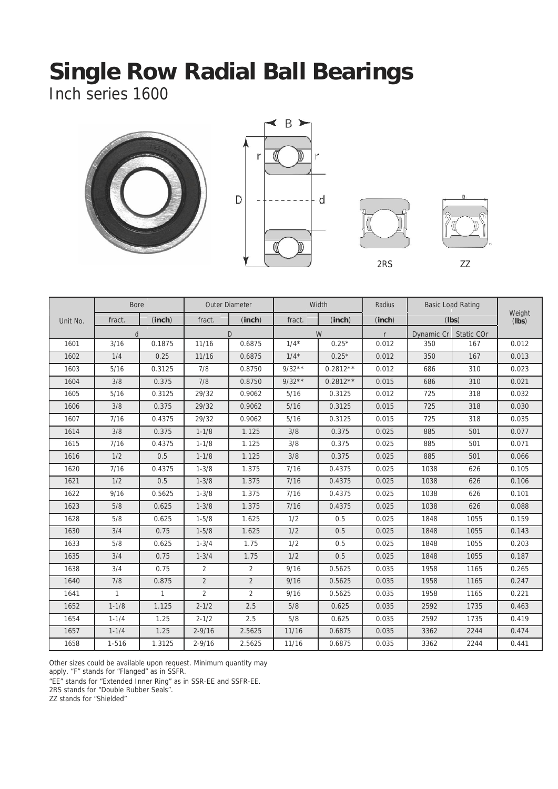Inch series 1600









|          | <b>Bore</b>  |              |                | Outer Diameter |          | Width      | Radius |            | <b>Basic Load Rating</b> |                           |
|----------|--------------|--------------|----------------|----------------|----------|------------|--------|------------|--------------------------|---------------------------|
| Unit No. | fract.       | (inch)       | fract.         | (inch)         | fract.   | (inch)     | (inch) | (Ibs)      |                          | Weight<br>$(Ib\breve{s})$ |
|          | d            |              |                | $\mathsf{D}$   |          | W          |        | Dynamic Cr | Static COr               |                           |
| 1601     | 3/16         | 0.1875       | 11/16          | 0.6875         | $1/4*$   | $0.25*$    | 0.012  | 350        | 167                      | 0.012                     |
| 1602     | 1/4          | 0.25         | 11/16          | 0.6875         | $1/4*$   | $0.25*$    | 0.012  | 350        | 167                      | 0.013                     |
| 1603     | 5/16         | 0.3125       | 7/8            | 0.8750         | $9/32**$ | $0.2812**$ | 0.012  | 686        | 310                      | 0.023                     |
| 1604     | 3/8          | 0.375        | 7/8            | 0.8750         | $9/32**$ | $0.2812**$ | 0.015  | 686        | 310                      | 0.021                     |
| 1605     | 5/16         | 0.3125       | 29/32          | 0.9062         | 5/16     | 0.3125     | 0.012  | 725        | 318                      | 0.032                     |
| 1606     | 3/8          | 0.375        | 29/32          | 0.9062         | $5/16$   | 0.3125     | 0.015  | 725        | 318                      | 0.030                     |
| 1607     | 7/16         | 0.4375       | 29/32          | 0.9062         | $5/16$   | 0.3125     | 0.015  | 725        | 318                      | 0.035                     |
| 1614     | 3/8          | 0.375        | $1 - 1/8$      | 1.125          | 3/8      | 0.375      | 0.025  | 885        | 501                      | 0.077                     |
| 1615     | 7/16         | 0.4375       | $1 - 1/8$      | 1.125          | 3/8      | 0.375      | 0.025  | 885        | 501                      | 0.071                     |
| 1616     | 1/2          | 0.5          | $1 - 1/8$      | 1.125          | 3/8      | 0.375      | 0.025  | 885        | 501                      | 0.066                     |
| 1620     | 7/16         | 0.4375       | $1 - 3/8$      | 1.375          | 7/16     | 0.4375     | 0.025  | 1038       | 626                      | 0.105                     |
| 1621     | 1/2          | 0.5          | $1 - 3/8$      | 1.375          | $7/16$   | 0.4375     | 0.025  | 1038       | 626                      | 0.106                     |
| 1622     | 9/16         | 0.5625       | $1 - 3/8$      | 1.375          | $7/16$   | 0.4375     | 0.025  | 1038       | 626                      | 0.101                     |
| 1623     | 5/8          | 0.625        | $1 - 3/8$      | 1.375          | 7/16     | 0.4375     | 0.025  | 1038       | 626                      | 0.088                     |
| 1628     | 5/8          | 0.625        | $1 - 5/8$      | 1.625          | 1/2      | 0.5        | 0.025  | 1848       | 1055                     | 0.159                     |
| 1630     | 3/4          | 0.75         | $1 - 5/8$      | 1.625          | 1/2      | 0.5        | 0.025  | 1848       | 1055                     | 0.143                     |
| 1633     | 5/8          | 0.625        | $1 - 3/4$      | 1.75           | 1/2      | 0.5        | 0.025  | 1848       | 1055                     | 0.203                     |
| 1635     | 3/4          | 0.75         | $1 - 3/4$      | 1.75           | 1/2      | 0.5        | 0.025  | 1848       | 1055                     | 0.187                     |
| 1638     | 3/4          | 0.75         | $\overline{2}$ | $\overline{2}$ | 9/16     | 0.5625     | 0.035  | 1958       | 1165                     | 0.265                     |
| 1640     | 7/8          | 0.875        | $\overline{2}$ | $\overline{2}$ | 9/16     | 0.5625     | 0.035  | 1958       | 1165                     | 0.247                     |
| 1641     | $\mathbf{1}$ | $\mathbf{1}$ | $\overline{2}$ | $\overline{2}$ | 9/16     | 0.5625     | 0.035  | 1958       | 1165                     | 0.221                     |
| 1652     | $1 - 1/8$    | 1.125        | $2 - 1/2$      | 2.5            | 5/8      | 0.625      | 0.035  | 2592       | 1735                     | 0.463                     |
| 1654     | $1 - 1/4$    | 1.25         | $2 - 1/2$      | 2.5            | 5/8      | 0.625      | 0.035  | 2592       | 1735                     | 0.419                     |
| 1657     | $1 - 1/4$    | 1.25         | $2 - 9/16$     | 2.5625         | 11/16    | 0.6875     | 0.035  | 3362       | 2244                     | 0.474                     |
| 1658     | $1 - 516$    | 1.3125       | $2 - 9/16$     | 2.5625         | 11/16    | 0.6875     | 0.035  | 3362       | 2244                     | 0.441                     |

Other sizes could be available upon request. Minimum quantity may

"EE" stands for "Extended Inner Ring" as in SSR-EE and SSFR-EE.

2RS stands for "Double Rubber Seals".

ZZ stands for "Shielded"

apply. "F" stands for "Flanged" as in SSFR.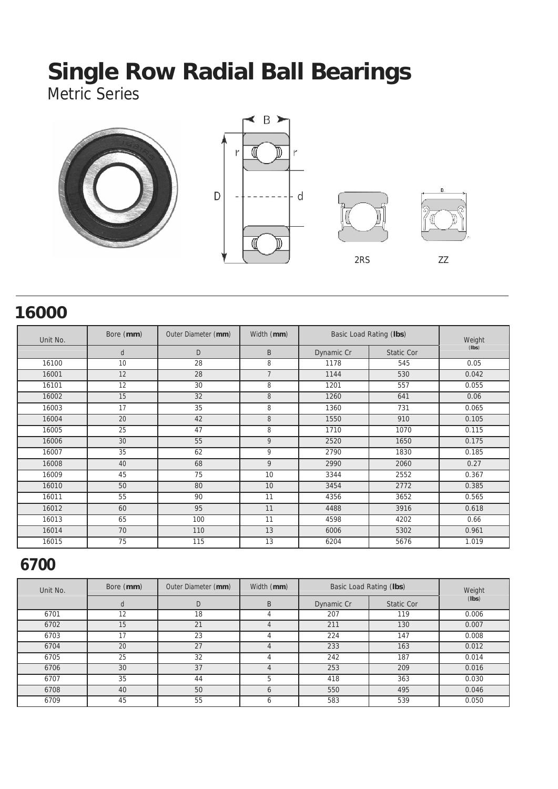Metric Series



#### **16000**

| Unit No. | Bore (mm) | Outer Diameter (mm) | Width (mm)     |            | Basic Load Rating (lbs) | Weight |  |
|----------|-----------|---------------------|----------------|------------|-------------------------|--------|--|
|          | d         | D                   | B              | Dynamic Cr | <b>Static Cor</b>       | (Ibs)  |  |
| 16100    | 10        | 28                  | 8              | 1178       | 545                     | 0.05   |  |
| 16001    | 12        | 28                  | $\overline{7}$ | 1144       | 530                     | 0.042  |  |
| 16101    | 12        | 30                  | 8              | 1201       | 557                     | 0.055  |  |
| 16002    | 15        | 32                  | 8              | 1260       | 641                     | 0.06   |  |
| 16003    | 17        | 35                  | 8              | 1360       | 731                     | 0.065  |  |
| 16004    | 20        | 42                  | 8              | 1550       | 910                     | 0.105  |  |
| 16005    | 25        | 47                  | 8              | 1710       | 1070                    | 0.115  |  |
| 16006    | 30        | 55                  | 9              | 2520       | 1650                    | 0.175  |  |
| 16007    | 35        | 62                  | 9              | 2790       | 1830                    | 0.185  |  |
| 16008    | 40        | 68                  | 9              | 2990       | 2060                    | 0.27   |  |
| 16009    | 45        | 75                  | 10             | 3344       | 2552                    | 0.367  |  |
| 16010    | 50        | 80                  | 10             | 3454       | 2772                    | 0.385  |  |
| 16011    | 55        | 90                  | 11             | 4356       | 3652                    | 0.565  |  |
| 16012    | 60        | 95                  | 11             | 4488       | 3916                    | 0.618  |  |
| 16013    | 65        | 100                 | 11             | 4598       | 4202                    | 0.66   |  |
| 16014    | 70        | 110                 | 13             | 6006       | 5302                    | 0.961  |  |
| 16015    | 75        | 115                 | 13             | 6204       | 5676                    | 1.019  |  |

#### **6700**

| Unit No. | Bore (mm) | Outer Diameter (mm) | Width (mm) | Basic Load Rating (Ibs) | Weight            |       |
|----------|-----------|---------------------|------------|-------------------------|-------------------|-------|
|          |           | D                   | B          | Dynamic Cr              | <b>Static Cor</b> | (lbs) |
| 6701     | 12        | 18                  |            | 207                     | 119               | 0.006 |
| 6702     | 15        | 21                  |            | 211                     | 130               | 0.007 |
| 6703     | 17        | 23                  |            | 224                     | 147               | 0.008 |
| 6704     | 20        | 27                  |            | 233                     | 163               | 0.012 |
| 6705     | 25        | 32                  |            | 242                     | 187               | 0.014 |
| 6706     | 30        | 37                  |            | 253                     | 209               | 0.016 |
| 6707     | 35        | 44                  | 5          | 418                     | 363               | 0.030 |
| 6708     | 40        | 50                  |            | 550                     | 495               | 0.046 |
| 6709     | 45        | 55                  |            | 583                     | 539               | 0.050 |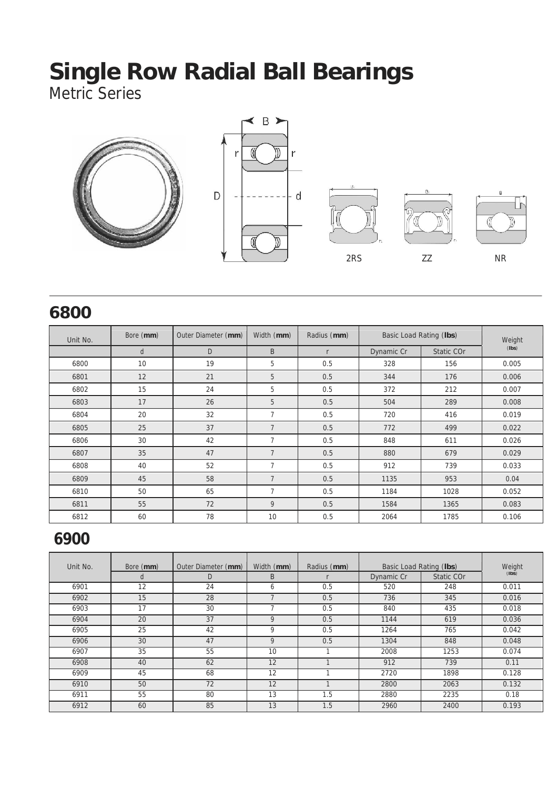Metric Series



#### **6800**

| Unit No. | Bore (mm) | Outer Diameter (mm) | Width (mm)     | Radius (mm)  | Basic Load Rating (Ibs) |            | Weight |  |
|----------|-----------|---------------------|----------------|--------------|-------------------------|------------|--------|--|
|          | d         | D                   | B              | $\mathsf{r}$ | Dynamic Cr              | Static COr | (Ibs)  |  |
| 6800     | 10        | 19                  | 5              | 0.5          | 328                     | 156        | 0.005  |  |
| 6801     | 12        | 21                  | 5              | 0.5          | 344                     | 176        | 0.006  |  |
| 6802     | 15        | 24                  | 5              | 0.5          | 372                     | 212        | 0.007  |  |
| 6803     | 17        | 26                  | 5              | 0.5          | 504                     | 289        | 0.008  |  |
| 6804     | 20        | 32                  | $\overline{7}$ | 0.5          | 720                     | 416        | 0.019  |  |
| 6805     | 25        | 37                  | $\overline{7}$ | 0.5          | 772                     | 499        | 0.022  |  |
| 6806     | 30        | 42                  | $\overline{7}$ | 0.5          | 848                     | 611        | 0.026  |  |
| 6807     | 35        | 47                  | $\overline{7}$ | 0.5          | 880                     | 679        | 0.029  |  |
| 6808     | 40        | 52                  | 7              | 0.5          | 912                     | 739        | 0.033  |  |
| 6809     | 45        | 58                  | $\overline{7}$ | 0.5          | 1135                    | 953        | 0.04   |  |
| 6810     | 50        | 65                  | $\overline{7}$ | 0.5          | 1184                    | 1028       | 0.052  |  |
| 6811     | 55        | 72                  | 9              | 0.5          | 1584                    | 1365       | 0.083  |  |
| 6812     | 60        | 78                  | 10             | 0.5          | 2064                    | 1785       | 0.106  |  |

### **6900**

| Unit No. | Bore (mm) | Outer Diameter (mm) | Width (mm)<br>Radius (mm) |     | Basic Load Rating (Ibs) | Weight<br>(Ibs) |       |
|----------|-----------|---------------------|---------------------------|-----|-------------------------|-----------------|-------|
|          | u         | D                   | B                         |     | Dynamic Cr              | Static COr      |       |
| 6901     | 12        | 24                  | 6                         | 0.5 | 520                     | 248             | 0.011 |
| 6902     | 15        | 28                  |                           | 0.5 | 736                     | 345             | 0.016 |
| 6903     | 17        | 30                  |                           | 0.5 | 840                     | 435             | 0.018 |
| 6904     | 20        | 37                  | Q                         | 0.5 | 1144                    | 619             | 0.036 |
| 6905     | 25        | 42                  | 9                         | 0.5 | 1264                    | 765             | 0.042 |
| 6906     | 30        | 47                  | 9                         | 0.5 | 1304                    | 848             | 0.048 |
| 6907     | 35        | 55                  | 10                        |     | 2008                    | 1253            | 0.074 |
| 6908     | 40        | 62                  | 12                        |     | 912                     | 739             | 0.11  |
| 6909     | 45        | 68                  | 12                        |     | 2720                    | 1898            | 0.128 |
| 6910     | 50        | 72                  | 12                        |     | 2800                    | 2063            | 0.132 |
| 6911     | 55        | 80                  | 13                        | 1.5 | 2880                    | 2235            | 0.18  |
| 6912     | 60        | 85                  | 13                        | 1.5 | 2960                    | 2400            | 0.193 |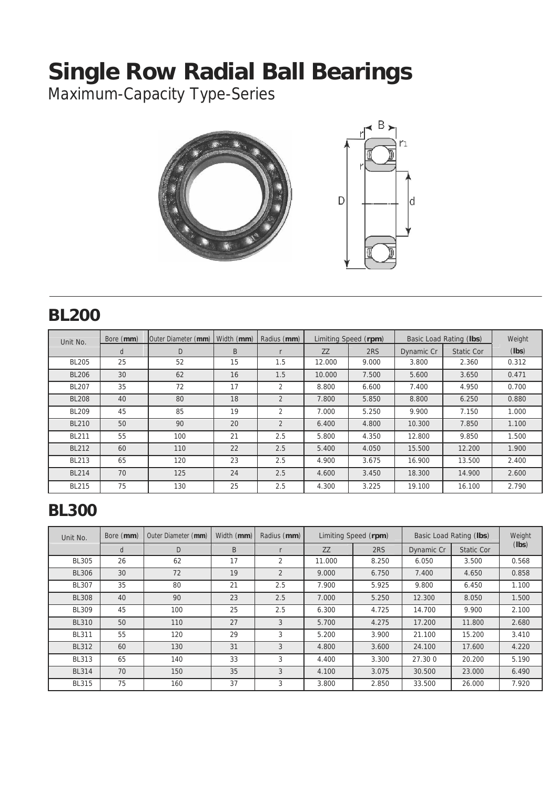Maximum-Capacity Type-Series



#### **BL200**

| Unit No.     | Bore (mm) | Outer Diameter (mm) | Width (mm) | Radius (mm)    |           | Limiting Speed (rpm) | Basic Load Rating (lbs) |                   | Weight |
|--------------|-----------|---------------------|------------|----------------|-----------|----------------------|-------------------------|-------------------|--------|
|              | d         | D                   | B          |                | <b>ZZ</b> | 2RS                  | Dynamic Cr              | <b>Static Cor</b> | (lbs)  |
| <b>BL205</b> | 25        | 52                  | 15         | 1.5            | 12.000    | 9.000                | 3.800                   | 2.360             | 0.312  |
| <b>BL206</b> | 30        | 62                  | 16         | 1.5            | 10.000    | 7.500                | 5.600                   | 3.650             | 0.471  |
| <b>BL207</b> | 35        | 72                  | 17         | $\overline{2}$ | 8.800     | 6.600                | 7.400                   | 4.950             | 0.700  |
| <b>BL208</b> | 40        | 80                  | 18         | $\overline{2}$ | 7.800     | 5.850                | 8.800                   | 6.250             | 0.880  |
| <b>BL209</b> | 45        | 85                  | 19         | 2              | 7.000     | 5.250                | 9.900                   | 7.150             | 1.000  |
| <b>BL210</b> | 50        | 90                  | 20         | $\overline{2}$ | 6.400     | 4.800                | 10.300                  | 7.850             | 1.100  |
| <b>BL211</b> | 55        | 100                 | 21         | 2.5            | 5.800     | 4.350                | 12.800                  | 9.850             | 1.500  |
| <b>BL212</b> | 60        | 110                 | 22         | 2.5            | 5.400     | 4.050                | 15.500                  | 12.200            | 1.900  |
| <b>BL213</b> | 65        | 120                 | 23         | 2.5            | 4.900     | 3.675                | 16.900                  | 13.500            | 2.400  |
| <b>BL214</b> | 70        | 125                 | 24         | 2.5            | 4.600     | 3.450                | 18.300                  | 14.900            | 2.600  |
| <b>BL215</b> | 75        | 130                 | 25         | 2.5            | 4.300     | 3.225                | 19.100                  | 16.100            | 2.790  |

### **BL300**

| Unit No.     | Bore (mm) | Outer Diameter (mm) | Width (mm) | Radius (mm)    | Limiting Speed (rpm) |       |            | Basic Load Rating (Ibs) | Weight |
|--------------|-----------|---------------------|------------|----------------|----------------------|-------|------------|-------------------------|--------|
|              | d         | D                   | B          |                | ZZ                   | 2RS   | Dynamic Cr | <b>Static Cor</b>       | (lbs)  |
| <b>BL305</b> | 26        | 62                  | 17         | 2              | 11.000               | 8.250 | 6.050      | 3.500                   | 0.568  |
| <b>BL306</b> | 30        | 72                  | 19         | $\overline{2}$ | 9.000                | 6.750 | 7.400      | 4.650                   | 0.858  |
| <b>BL307</b> | 35        | 80                  | 21         | 2.5            | 7.900                | 5.925 | 9.800      | 6.450                   | 1.100  |
| <b>BL308</b> | 40        | 90                  | 23         | 2.5            | 7.000                | 5.250 | 12.300     | 8.050                   | 1.500  |
| <b>BL309</b> | 45        | 100                 | 25         | 2.5            | 6.300                | 4.725 | 14.700     | 9.900                   | 2.100  |
| <b>BL310</b> | 50        | 110                 | 27         | 3              | 5.700                | 4.275 | 17.200     | 11.800                  | 2.680  |
| <b>BL311</b> | 55        | 120                 | 29         | 3              | 5.200                | 3.900 | 21.100     | 15.200                  | 3.410  |
| <b>BL312</b> | 60        | 130                 | 31         | 3              | 4.800                | 3.600 | 24.100     | 17.600                  | 4.220  |
| <b>BL313</b> | 65        | 140                 | 33         | 3              | 4.400                | 3.300 | 27.300     | 20.200                  | 5.190  |
| <b>BL314</b> | 70        | 150                 | 35         | 3              | 4.100                | 3.075 | 30.500     | 23.000                  | 6.490  |
| <b>BL315</b> | 75        | 160                 | 37         | 3              | 3.800                | 2.850 | 33.500     | 26.000                  | 7.920  |